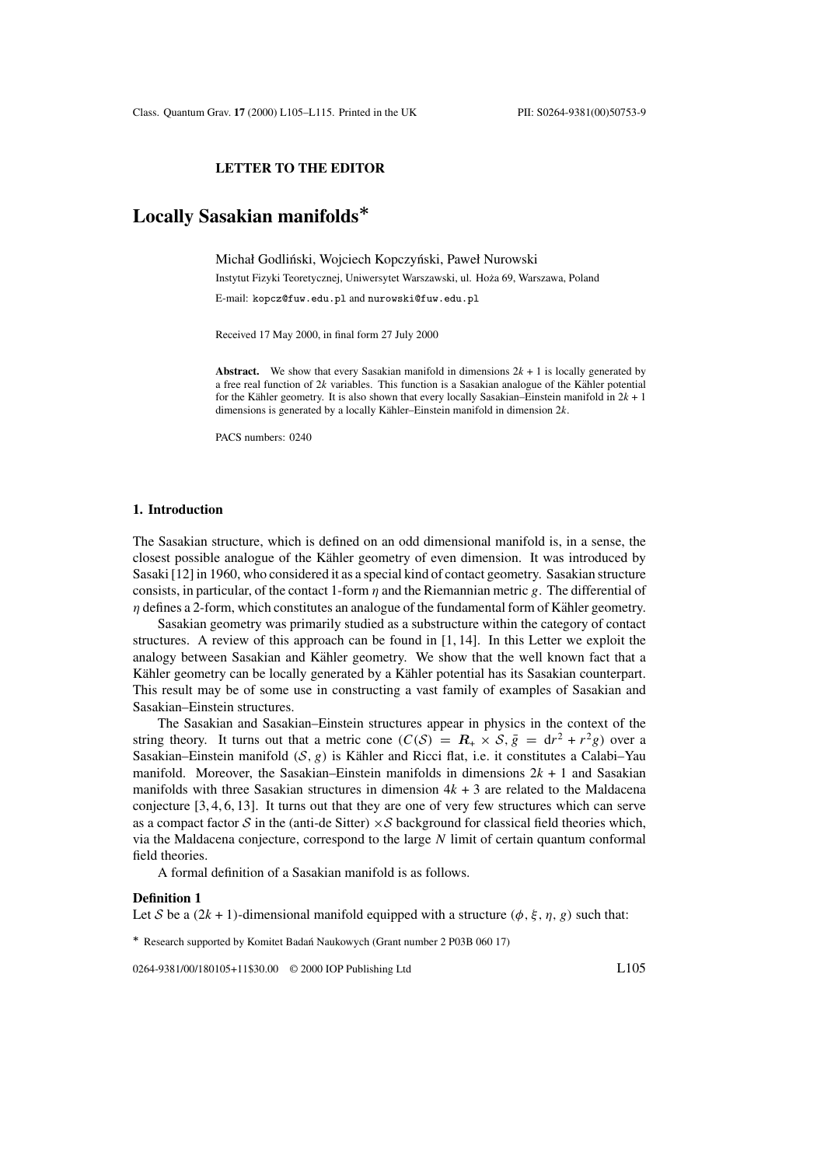## **LETTER TO THE EDITOR**

# **Locally Sasakian manifolds***∗*

Michał Godliński, Wojciech Kopczyński, Paweł Nurowski

Instytut Fizyki Teoretycznej, Uniwersytet Warszawski, ul. Hoza 69, Warszawa, Poland ˙ E-mail: kopcz@fuw.edu.pl and nurowski@fuw.edu.pl

Received 17 May 2000, in final form 27 July 2000

**Abstract.** We show that every Sasakian manifold in dimensions  $2k + 1$  is locally generated by a free real function of  $2k$  variables. This function is a Sasakian analogue of the Kähler potential for the Kähler geometry. It is also shown that every locally Sasakian–Einstein manifold in  $2k + 1$ dimensions is generated by a locally Kähler–Einstein manifold in dimension  $2k$ .

PACS numbers: 0240

#### **1. Introduction**

The Sasakian structure, which is defined on an odd dimensional manifold is, in a sense, the closest possible analogue of the Kähler geometry of even dimension. It was introduced by Sasaki [12] in 1960, who considered it as a special kind of contact geometry. Sasakian structure consists, in particular, of the contact 1-form  $\eta$  and the Riemannian metric g. The differential of  $\eta$  defines a 2-form, which constitutes an analogue of the fundamental form of Kähler geometry.

Sasakian geometry was primarily studied as a substructure within the category of contact structures. A review of this approach can be found in [1, 14]. In this Letter we exploit the analogy between Sasakian and Kähler geometry. We show that the well known fact that a Kähler geometry can be locally generated by a Kähler potential has its Sasakian counterpart. This result may be of some use in constructing a vast family of examples of Sasakian and Sasakian–Einstein structures.

The Sasakian and Sasakian–Einstein structures appear in physics in the context of the string theory. It turns out that a metric cone  $(C(S) = R_+ \times S, \overline{g} = dr^2 + r^2 g)$  over a Sasakian–Einstein manifold  $(S, g)$  is Kähler and Ricci flat, i.e. it constitutes a Calabi–Yau manifold. Moreover, the Sasakian–Einstein manifolds in dimensions  $2k + 1$  and Sasakian manifolds with three Sasakian structures in dimension  $4k + 3$  are related to the Maldacena conjecture [3, 4, 6, 13]. It turns out that they are one of very few structures which can serve as a compact factor S in the (anti-de Sitter)  $\times S$  background for classical field theories which, via the Maldacena conjecture, correspond to the large  $N$  limit of certain quantum conformal field theories.

A formal definition of a Sasakian manifold is as follows.

#### **Definition 1**

Let S be a  $(2k + 1)$ -dimensional manifold equipped with a structure  $(\phi, \xi, \eta, g)$  such that:

*∗* Research supported by Komitet Badan Naukowych (Grant number 2 P03B 060 17) ´

0264-9381/00/180105+11\$30.00 © 2000 IOP Publishing Ltd L105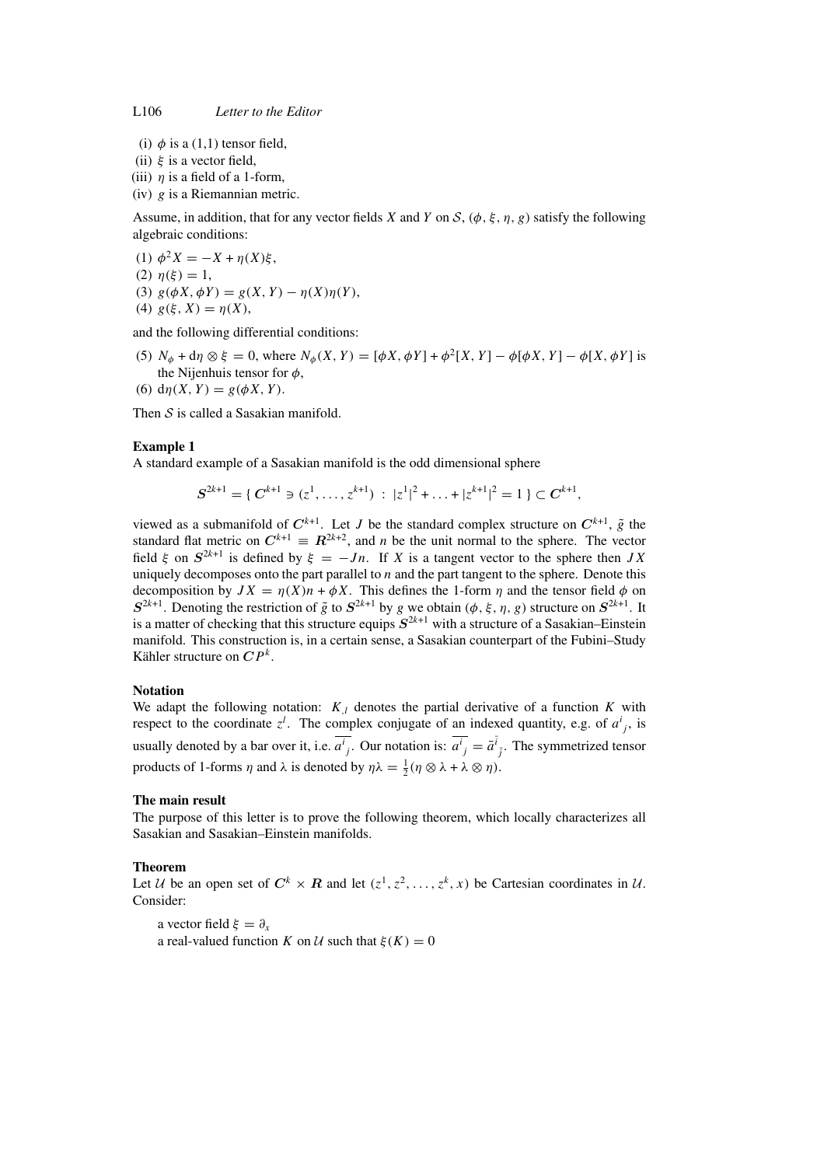- (i)  $\phi$  is a (1,1) tensor field,
- (ii)  $\xi$  is a vector field.
- (iii)  $\eta$  is a field of a 1-form,
- (iv)  $g$  is a Riemannian metric.

Assume, in addition, that for any vector fields X and Y on S,  $(\phi, \xi, \eta, g)$  satisfy the following algebraic conditions:

(1)  $\phi^2 X = -X + \eta(X)\xi$ , (2)  $\eta(\xi) = 1$ , (3)  $g(\phi X, \phi Y) = g(X, Y) - \eta(X)\eta(Y),$ (4)  $g(\xi, X) = \eta(X)$ ,

and the following differential conditions:

- (5)  $N_{\phi}$  + d $\eta \otimes \xi = 0$ , where  $N_{\phi}(X, Y) = [\phi X, \phi Y] + \phi^2[X, Y] \phi[\phi X, Y] \phi[X, \phi Y]$  is the Nijenhuis tensor for  $\phi$ ,
- (6)  $d\eta(X, Y) = g(\phi X, Y)$ .

Then  $S$  is called a Sasakian manifold.

## **Example 1**

A standard example of a Sasakian manifold is the odd dimensional sphere

$$
S^{2k+1} = \{ C^{k+1} \ni (z^1, \ldots, z^{k+1}) : |z^1|^2 + \ldots + |z^{k+1}|^2 = 1 \} \subset C^{k+1},
$$

viewed as a submanifold of  $C^{k+1}$ . Let *J* be the standard complex structure on  $C^{k+1}$ ,  $\tilde{g}$  the standard flat metric on  $C^{k+1} = R^{2k+2}$ , and *n* be the unit normal to the sphere. The vector field  $\xi$  on  $S^{2k+1}$  is defined by  $\xi = -Jn$ . If X is a tangent vector to the sphere then JX uniquely decomposes onto the part parallel to  $n$  and the part tangent to the sphere. Denote this decomposition by  $JX = \eta(X)n + \phi X$ . This defines the 1-form  $\eta$  and the tensor field  $\phi$  on  $S^{2k+1}$ . Denoting the restriction of  $\tilde{g}$  to  $S^{2k+1}$  by g we obtain ( $\phi$ ,  $\xi$ ,  $\eta$ ,  $g$ ) structure on  $S^{2k+1}$ . It is a matter of checking that this structure equips  $S^{2k+1}$  with a structure of a Sasakian–Einstein manifold. This construction is, in a certain sense, a Sasakian counterpart of the Fubini–Study Kähler structure on  $\mathbb{CP}^k$ .

#### **Notation**

We adapt the following notation:  $K_{\perp}$  denotes the partial derivative of a function K with respect to the coordinate  $z^l$ . The complex conjugate of an indexed quantity, e.g. of  $a^i_{j}$ , is usually denoted by a bar over it, i.e.  $\overline{a^i}_j$ . Our notation is:  $\overline{a^i}_j = \overline{a}^{\overline{i}}_{\overline{j}}$ . The symmetrized tensor products of 1-forms  $\eta$  and  $\lambda$  is denoted by  $\eta \lambda = \frac{1}{2} (\eta \otimes \lambda + \lambda \otimes \eta)$ .

#### **The main result**

The purpose of this letter is to prove the following theorem, which locally characterizes all Sasakian and Sasakian–Einstein manifolds.

#### **Theorem**

Let U be an open set of  $C^k \times R$  and let  $(z^1, z^2, \ldots, z^k, x)$  be Cartesian coordinates in U. Consider:

a vector field  $\xi = \partial_x$ 

a real-valued function K on U such that  $\xi(K) = 0$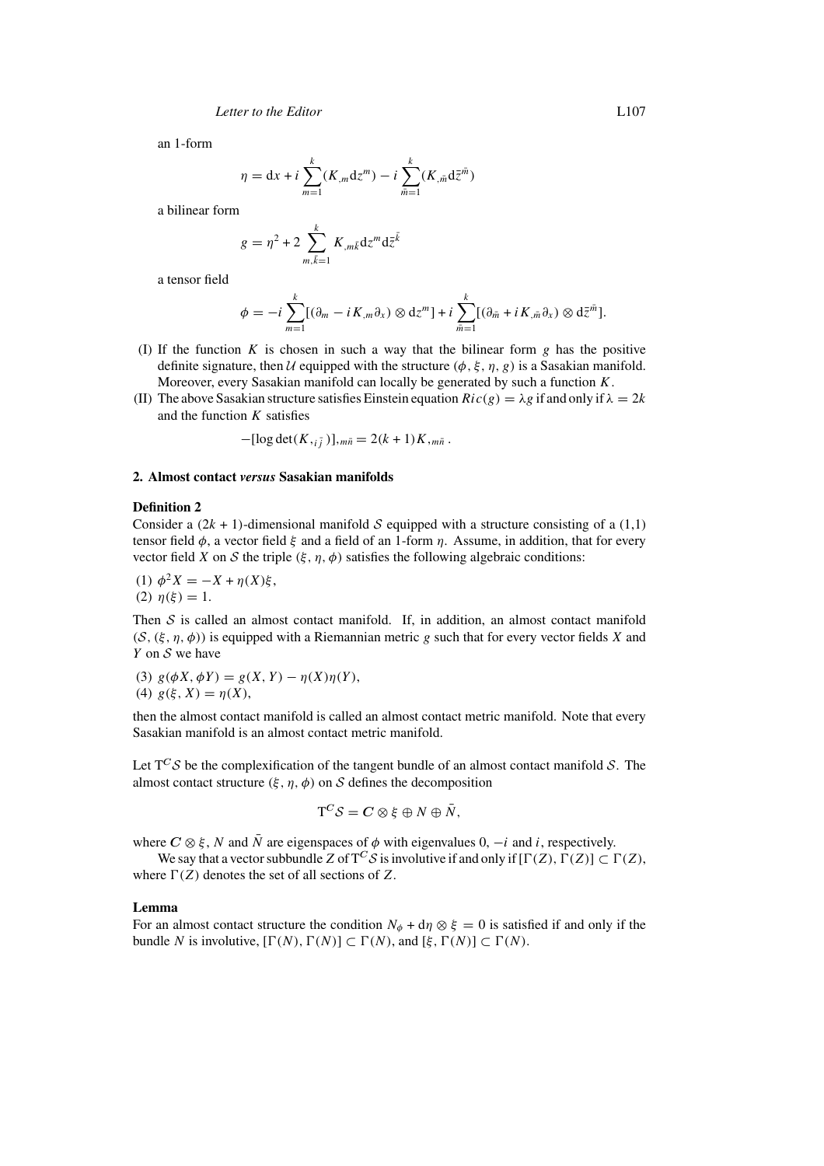an 1-form

$$
\eta = dx + i \sum_{m=1}^{k} (K_m dz^m) - i \sum_{\bar{m}=1}^{k} (K_{,\bar{m}} d\bar{z}^{\bar{m}})
$$

a bilinear form

$$
g = \eta^2 + 2 \sum_{m,\bar{k}=1}^k K_{,m\bar{k}} \mathrm{d}z^m \mathrm{d}\bar{z}^{\bar{k}}
$$

a tensor field

$$
\phi = -i \sum_{m=1}^k [(\partial_m - i K_m \partial_x) \otimes dz^m] + i \sum_{\bar{m}=1}^k [(\partial_{\bar{m}} + i K_{,\bar{m}} \partial_x) \otimes d\bar{z}^{\bar{m}}].
$$

- (I) If the function K is chosen in such a way that the bilinear form g has the positive definite signature, then U equipped with the structure  $(\phi, \xi, \eta, g)$  is a Sasakian manifold. Moreover, every Sasakian manifold can locally be generated by such a function  $K$ .
- (II) The above Sasakian structure satisfies Einstein equation  $Ric(g) = \lambda g$  if and only if  $\lambda = 2k$ and the function  $K$  satisfies

$$
-[\log \det(K,_{i\bar{j}})],_{m\bar{n}} = 2(k+1)K_{,m\bar{n}}.
$$

## **2. Almost contact** *versus* **Sasakian manifolds**

# **Definition 2**

Consider a  $(2k + 1)$ -dimensional manifold S equipped with a structure consisting of a  $(1,1)$ tensor field  $\phi$ , a vector field  $\xi$  and a field of an 1-form  $\eta$ . Assume, in addition, that for every vector field X on S the triple  $(\xi, \eta, \phi)$  satisfies the following algebraic conditions:

(1) 
$$
\phi^2 X = -X + \eta(X)\xi
$$
,  
(2)  $\eta(\xi) = 1$ .

Then  $S$  is called an almost contact manifold. If, in addition, an almost contact manifold  $(S, (\xi, \eta, \phi))$  is equipped with a Riemannian metric g such that for every vector fields X and  $Y$  on  $S$  we have

(3) 
$$
g(\phi X, \phi Y) = g(X, Y) - \eta(X)\eta(Y)
$$
,  
(4)  $g(\xi, X) = \eta(X)$ ,

then the almost contact manifold is called an almost contact metric manifold. Note that every Sasakian manifold is an almost contact metric manifold.

Let  $T^C S$  be the complexification of the tangent bundle of an almost contact manifold S. The almost contact structure  $(\xi, \eta, \phi)$  on S defines the decomposition

$$
\mathbf{T}^C \mathcal{S} = \mathbf{C} \otimes \xi \oplus N \oplus \bar{N},
$$

where  $C \otimes \xi$ , N and  $\overline{N}$  are eigenspaces of  $\phi$  with eigenvalues 0,  $-i$  and i, respectively.

We say that a vector subbundle Z of  $T^C S$  is involutive if and only if  $[\Gamma(Z), \Gamma(Z)] \subset \Gamma(Z)$ , where  $\Gamma(Z)$  denotes the set of all sections of Z.

#### **Lemma**

For an almost contact structure the condition  $N_{\phi} + d\eta \otimes \xi = 0$  is satisfied if and only if the bundle N is involutive,  $[\Gamma(N), \Gamma(N)] \subset \Gamma(N)$ , and  $[\xi, \Gamma(N)] \subset \Gamma(N)$ .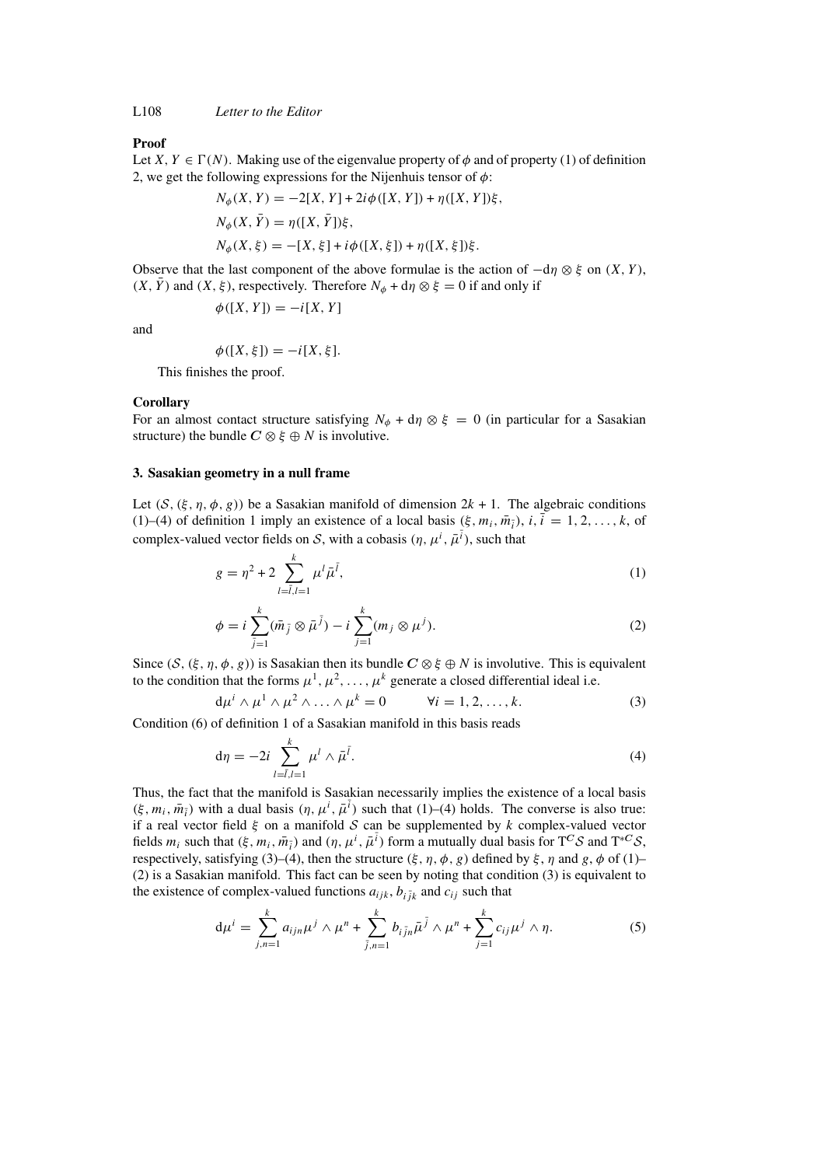L108 *Letter to the Editor*

## **Proof**

Let  $X, Y \in \Gamma(N)$ . Making use of the eigenvalue property of  $\phi$  and of property (1) of definition 2, we get the following expressions for the Nijenhuis tensor of  $\phi$ :

$$
N_{\phi}(X, Y) = -2[X, Y] + 2i\phi([X, Y]) + \eta([X, Y])\xi,
$$
  
\n
$$
N_{\phi}(X, \bar{Y}) = \eta([X, \bar{Y}])\xi,
$$
  
\n
$$
N_{\phi}(X, \xi) = -[X, \xi] + i\phi([X, \xi]) + \eta([X, \xi])\xi.
$$

Observe that the last component of the above formulae is the action of  $-d\eta \otimes \xi$  on  $(X, Y)$ ,  $(X, \overline{Y})$  and  $(X, \xi)$ , respectively. Therefore  $N_{\phi} + d\eta \otimes \xi = 0$  if and only if

$$
\phi([X, Y]) = -i[X, Y]
$$

and

$$
\phi([X,\xi]) = -i[X,\xi].
$$

This finishes the proof.

#### **Corollary**

For an almost contact structure satisfying  $N_{\phi} + d\eta \otimes \xi = 0$  (in particular for a Sasakian structure) the bundle  $C \otimes \xi \oplus N$  is involutive.

#### **3. Sasakian geometry in a null frame**

Let  $(S, (\xi, \eta, \phi, g))$  be a Sasakian manifold of dimension  $2k + 1$ . The algebraic conditions (1)–(4) of definition 1 imply an existence of a local basis  $(\xi, m_i, \overline{m_i})$ ,  $i, \overline{i} = 1, 2, \ldots, k$ , of complex-valued vector fields on S, with a cobasis  $(\eta, \mu^i, \bar{\mu}^{\bar{i}})$ , such that

$$
g = \eta^2 + 2 \sum_{l=\bar{l},l=1}^{k} \mu^l \bar{\mu}^{\bar{l}}, \tag{1}
$$

$$
\phi = i \sum_{\bar{j}=1}^{k} (\bar{m}_{\bar{j}} \otimes \bar{\mu}^{\bar{j}}) - i \sum_{j=1}^{k} (m_j \otimes \mu^j).
$$
 (2)

Since  $(S, (\xi, \eta, \phi, g))$  is Sasakian then its bundle  $C \otimes \xi \oplus N$  is involutive. This is equivalent to the condition that the forms  $\mu^1, \mu^2, \ldots, \mu^k$  generate a closed differential ideal i.e.

$$
d\mu^i \wedge \mu^1 \wedge \mu^2 \wedge \ldots \wedge \mu^k = 0 \qquad \forall i = 1, 2, \ldots, k. \tag{3}
$$

Condition (6) of definition 1 of a Sasakian manifold in this basis reads

$$
d\eta = -2i \sum_{l=\overline{l},l=1}^{k} \mu^l \wedge \overline{\mu}^{\overline{l}}.
$$
 (4)

Thus, the fact that the manifold is Sasakian necessarily implies the existence of a local basis  $(\xi, m_i, \overline{m_i})$  with a dual basis  $(\eta, \mu^i, \overline{\mu}^{\overline{i}})$  such that  $(1)$ –(4) holds. The converse is also true: if a real vector field  $\xi$  on a manifold S can be supplemented by k complex-valued vector fields  $m_i$  such that  $(\xi, m_i, \bar{m}_i)$  and  $(\eta, \mu^i, \bar{\mu}^i)$  form a mutually dual basis for  $T^C S$  and  $T^{*C} S$ , respectively, satisfying (3)–(4), then the structure  $(\xi, \eta, \phi, g)$  defined by  $\xi, \eta$  and  $g, \phi$  of (1)– (2) is a Sasakian manifold. This fact can be seen by noting that condition (3) is equivalent to the existence of complex-valued functions  $a_{ijk}$ ,  $b_{i\bar{i}k}$  and  $c_{ij}$  such that

$$
d\mu^{i} = \sum_{j,n=1}^{k} a_{ijn}\mu^{j} \wedge \mu^{n} + \sum_{\bar{j},n=1}^{k} b_{i\bar{j}n}\bar{\mu}^{\bar{j}} \wedge \mu^{n} + \sum_{j=1}^{k} c_{ij}\mu^{j} \wedge \eta.
$$
 (5)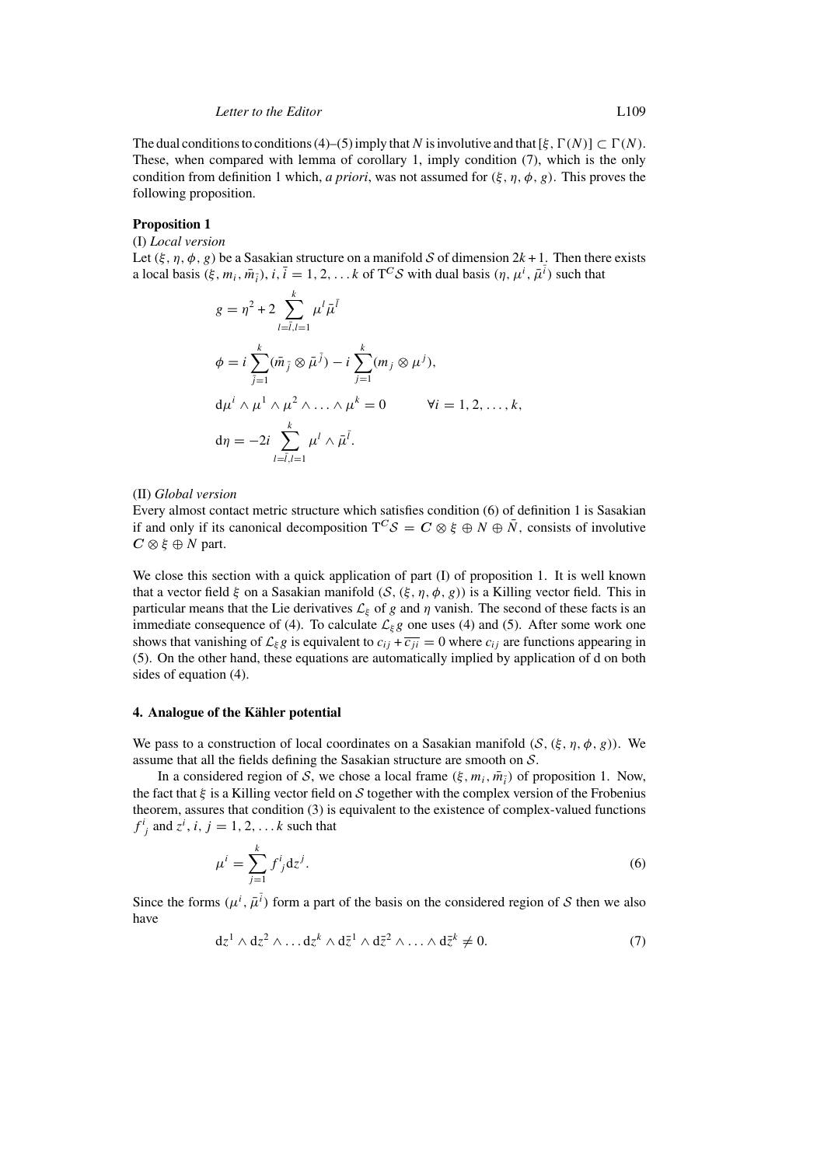The dual conditions to conditions (4)–(5) imply that N is involutive and that  $[\xi, \Gamma(N)] \subset \Gamma(N)$ . These, when compared with lemma of corollary 1, imply condition (7), which is the only condition from definition 1 which, *a priori*, was not assumed for  $(\xi, \eta, \phi, g)$ . This proves the following proposition.

# **Proposition 1**

(I) *Local version*

Let  $(\xi, \eta, \phi, \varrho)$  be a Sasakian structure on a manifold S of dimension  $2k + 1$ . Then there exists a local basis  $(\xi, m_i, \bar{m}_{\bar{i}}), i, \bar{i} = 1, 2, \ldots k$  of  $T^C S$  with dual basis  $(\eta, \mu^i, \bar{\mu}^{\bar{i}})$  such that

$$
g = \eta^2 + 2 \sum_{l=\overline{l},l=1}^k \mu^l \overline{\mu}^{\overline{l}}
$$
  
\n
$$
\phi = i \sum_{\overline{j}=1}^k (\overline{m}_{\overline{j}} \otimes \overline{\mu}^{\overline{j}}) - i \sum_{j=1}^k (m_j \otimes \mu^j),
$$
  
\n
$$
d\mu^i \wedge \mu^1 \wedge \mu^2 \wedge \ldots \wedge \mu^k = 0 \qquad \forall i = 1, 2, \ldots, k,
$$
  
\n
$$
d\eta = -2i \sum_{l=\overline{l},l=1}^k \mu^l \wedge \overline{\mu}^{\overline{l}}.
$$

## (II) *Global version*

Every almost contact metric structure which satisfies condition (6) of definition 1 is Sasakian if and only if its canonical decomposition  $T^C S = C \otimes \xi \oplus N \oplus \overline{N}$ , consists of involutive  $C \otimes \xi \oplus N$  part.

We close this section with a quick application of part (I) of proposition 1. It is well known that a vector field  $\xi$  on a Sasakian manifold  $(S, (\xi, \eta, \phi, g))$  is a Killing vector field. This in particular means that the Lie derivatives  $\mathcal{L}_{\xi}$  of g and  $\eta$  vanish. The second of these facts is an immediate consequence of (4). To calculate  $\mathcal{L}_{\xi}g$  one uses (4) and (5). After some work one shows that vanishing of  $\mathcal{L}_{\xi}g$  is equivalent to  $c_{ij} + \overline{c_{ji}} = 0$  where  $c_{ij}$  are functions appearing in (5). On the other hand, these equations are automatically implied by application of d on both sides of equation (4).

# **4. Analogue of the Kahler potential ¨**

We pass to a construction of local coordinates on a Sasakian manifold  $(S, (\xi, \eta, \phi, g))$ . We assume that all the fields defining the Sasakian structure are smooth on S.

In a considered region of S, we chose a local frame  $(\xi, m_i, \overline{m_i})$  of proposition 1. Now, the fact that  $\xi$  is a Killing vector field on S together with the complex version of the Frobenius theorem, assures that condition (3) is equivalent to the existence of complex-valued functions  $f^i_j$  and  $z^i$ ,  $i, j = 1, 2, \dots k$  such that

$$
\mu^i = \sum_{j=1}^k f^i_{\ j} \mathrm{d} z^j. \tag{6}
$$

Since the forms  $(\mu^i, \bar{\mu}^{\bar{i}})$  form a part of the basis on the considered region of S then we also have

$$
dz1 \wedge dz2 \wedge \dots dzk \wedge d\bar{z}1 \wedge d\bar{z}2 \wedge \dots \wedge d\bar{z}k \neq 0.
$$
 (7)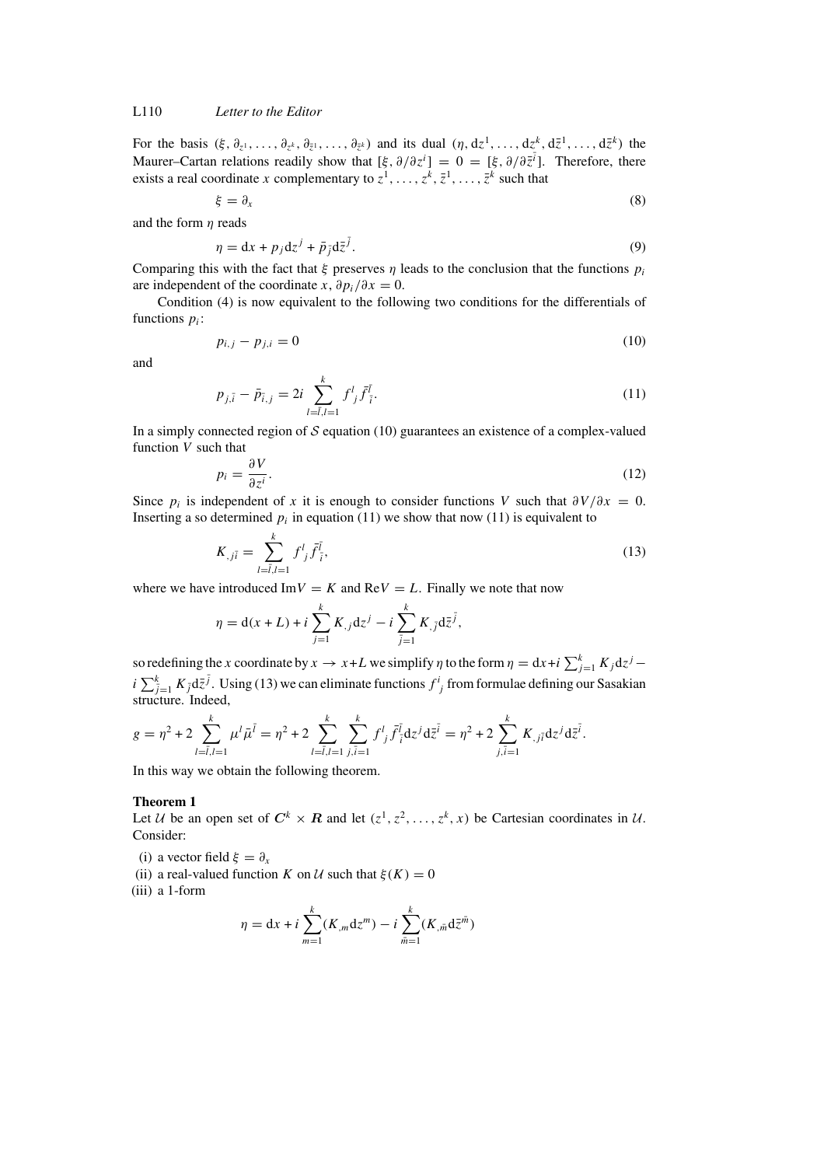# L110 *Letter to the Editor*

For the basis  $(\xi, \partial_{z^1}, \ldots, \partial_{z^k}, \partial_{\bar{z}^1}, \ldots, \partial_{\bar{z}^k})$  and its dual  $(\eta, d\bar{z}^1, \ldots, d\bar{z}^k, d\bar{z}^1, \ldots, d\bar{z}^k)$  the Maurer–Cartan relations readily show that  $[\xi, \partial/\partial z^i] = 0 = [\xi, \partial/\partial \bar{z}^i]$ . Therefore, there exists a real coordinate x complementary to  $z^1, \ldots, z^k, \overline{z}^1, \ldots, \overline{z}^k$  such that

$$
\xi = \partial_x \tag{8}
$$

and the form  $\eta$  reads

$$
\eta = dx + p_j dz^j + \bar{p}_j d\bar{z}^j. \tag{9}
$$

Comparing this with the fact that  $\xi$  preserves  $\eta$  leads to the conclusion that the functions  $p_i$ are independent of the coordinate x,  $\partial p_i/\partial x = 0$ .

Condition (4) is now equivalent to the following two conditions for the differentials of functions  $p_i$ :

$$
p_{i,j} - p_{j,i} = 0 \tag{10}
$$

and

$$
p_{j,\bar{i}} - \bar{p}_{\bar{i},j} = 2i \sum_{l=\bar{i},l=1}^{k} f^l_{\;j} \bar{f}^{\bar{i}}_{\; \bar{i}}.
$$
\n(11)

In a simply connected region of  $S$  equation (10) guarantees an existence of a complex-valued function V such that

$$
p_i = \frac{\partial V}{\partial z^i}.\tag{12}
$$

Since  $p_i$  is independent of x it is enough to consider functions V such that  $\partial V/\partial x = 0$ . Inserting a so determined  $p_i$  in equation (11) we show that now (11) is equivalent to

$$
K_{,j\bar{i}} = \sum_{l=\bar{i},l=1}^{k} f^l_{\;j} \bar{f}^{\bar{i}}_{\;{\bar{i}}},\tag{13}
$$

where we have introduced Im $V = K$  and ReV = L. Finally we note that now

$$
\eta = d(x + L) + i \sum_{j=1}^{k} K_{,j} dz^{j} - i \sum_{\bar{j}=1}^{k} K_{,\bar{j}} d\bar{z}^{\bar{j}},
$$

so redefining the x coordinate by  $x \to x+L$  we simplify  $\eta$  to the form  $\eta = dx+i \sum_{j=1}^{k} K_j dz^{j} - dx^{j}$  $i\sum_{\bar{j}=1}^k K_{\bar{j}} d\bar{z}^{\bar{j}}$ . Using (13) we can eliminate functions  $f^i_{\ j}$  from formulae defining our Sasakian structure. Indeed,

$$
g = \eta^2 + 2 \sum_{l=\overline{l},l=1}^k \mu^l \overline{\mu}^{\overline{l}} = \eta^2 + 2 \sum_{l=\overline{l},l=1}^k \sum_{j,\overline{i}=1}^k f^l_{\ \overline{j}} \overline{f}^{\overline{l}}_{\ \overline{i}} dz^j d\overline{z}^{\overline{i}} = \eta^2 + 2 \sum_{j,\overline{i}=1}^k K_{,j\overline{i}} dz^j d\overline{z}^{\overline{i}}.
$$

In this way we obtain the following theorem.

#### **Theorem 1**

Let U be an open set of  $C^k \times R$  and let  $(z^1, z^2, ..., z^k, x)$  be Cartesian coordinates in U. Consider:

- (i) a vector field  $\xi = \partial_x$
- (ii) a real-valued function K on U such that  $\xi(K) = 0$
- (iii) a 1-form

$$
\eta = dx + i \sum_{m=1}^{k} (K_m dz^m) - i \sum_{\bar{m}=1}^{k} (K_{,\bar{m}} d\bar{z}^{\bar{m}})
$$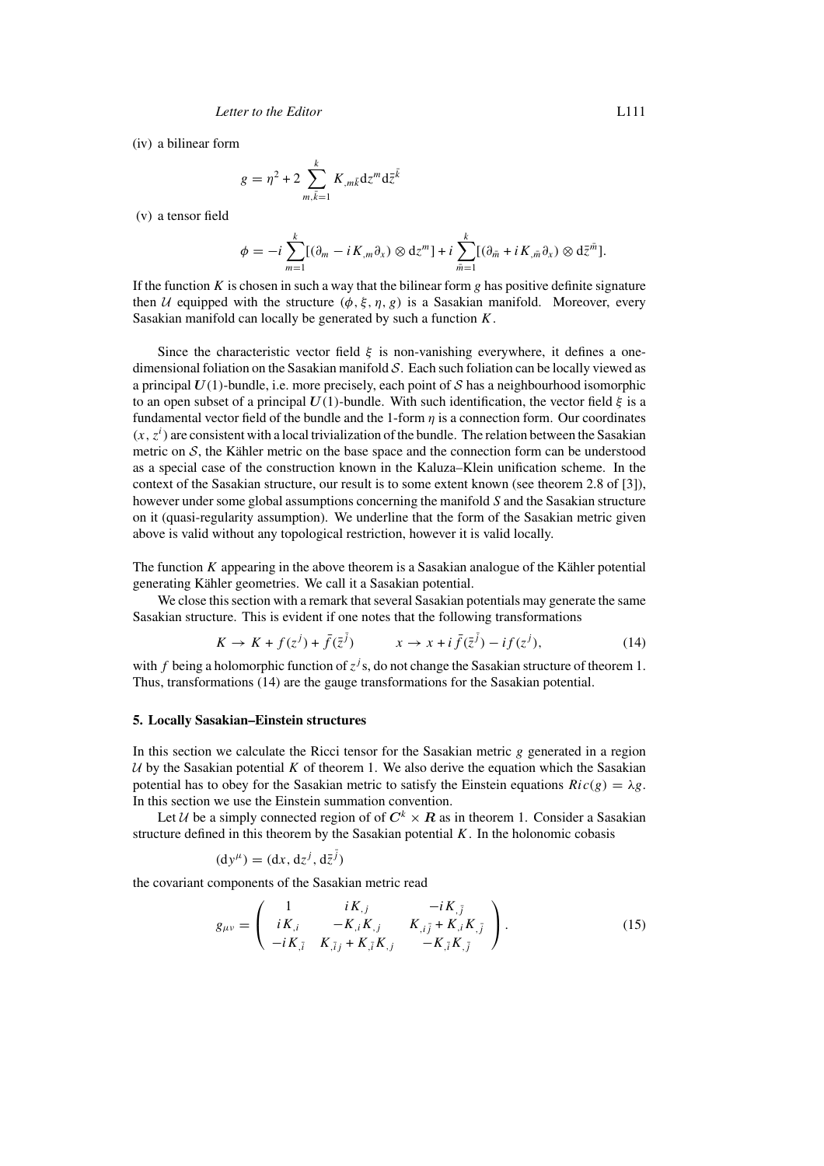(iv) a bilinear form

$$
g = \eta^2 + 2 \sum_{m,\bar{k}=1}^k K_{,m\bar{k}} \mathrm{d}z^m \mathrm{d}\bar{z}^{\bar{k}}
$$

(v) a tensor field

$$
\phi = -i \sum_{m=1}^k [(\partial_m - i K_m \partial_x) \otimes dz^m] + i \sum_{\bar{m}=1}^k [(\partial_{\bar{m}} + i K_{,\bar{m}} \partial_x) \otimes d\bar{z}^{\bar{m}}].
$$

If the function K is chosen in such a way that the bilinear form g has positive definite signature then U equipped with the structure  $(\phi, \xi, \eta, g)$  is a Sasakian manifold. Moreover, every Sasakian manifold can locally be generated by such a function  $K$ .

Since the characteristic vector field  $\xi$  is non-vanishing everywhere, it defines a onedimensional foliation on the Sasakian manifold S. Each such foliation can be locally viewed as a principal  $U(1)$ -bundle, i.e. more precisely, each point of S has a neighbourhood isomorphic to an open subset of a principal  $U(1)$ -bundle. With such identification, the vector field  $\xi$  is a fundamental vector field of the bundle and the 1-form  $\eta$  is a connection form. Our coordinates  $(x, z<sup>i</sup>)$  are consistent with a local trivialization of the bundle. The relation between the Sasakian metric on  $S$ , the Kähler metric on the base space and the connection form can be understood as a special case of the construction known in the Kaluza–Klein unification scheme. In the context of the Sasakian structure, our result is to some extent known (see theorem 2.8 of [3]), however under some global assumptions concerning the manifold S and the Sasakian structure on it (quasi-regularity assumption). We underline that the form of the Sasakian metric given above is valid without any topological restriction, however it is valid locally.

The function  $K$  appearing in the above theorem is a Sasakian analogue of the Kähler potential generating Kähler geometries. We call it a Sasakian potential.

We close this section with a remark that several Sasakian potentials may generate the same Sasakian structure. This is evident if one notes that the following transformations

$$
K \to K + f(z^{j}) + \bar{f}(\bar{z}^{\bar{j}}) \qquad x \to x + i \bar{f}(\bar{z}^{\bar{j}}) - i f(z^{j}), \tag{14}
$$

with f being a holomorphic function of  $z^{j}$ s, do not change the Sasakian structure of theorem 1. Thus, transformations (14) are the gauge transformations for the Sasakian potential.

#### **5. Locally Sasakian–Einstein structures**

In this section we calculate the Ricci tensor for the Sasakian metric  $g$  generated in a region  $U$  by the Sasakian potential K of theorem 1. We also derive the equation which the Sasakian potential has to obey for the Sasakian metric to satisfy the Einstein equations  $Ric(g) = \lambda g$ . In this section we use the Einstein summation convention.

Let *U* be a simply connected region of of  $C^k \times R$  as in theorem 1. Consider a Sasakian structure defined in this theorem by the Sasakian potential  $K$ . In the holonomic cobasis

$$
(\mathrm{d}y^{\mu}) = (\mathrm{d}x, \mathrm{d}z^{j}, \mathrm{d}\bar{z}^{\bar{j}})
$$

the covariant components of the Sasakian metric read

$$
g_{\mu\nu} = \begin{pmatrix} 1 & iK_{,j} & -iK_{,\bar{j}} \\ iK_{,i} & -K_{,i}K_{,j} & K_{,i\bar{j}} + K_{,i}K_{,\bar{j}} \\ -iK_{,\bar{i}} & K_{,\bar{i}j} + K_{,\bar{i}}K_{,j} & -K_{,\bar{i}}K_{,\bar{j}} \end{pmatrix}.
$$
 (15)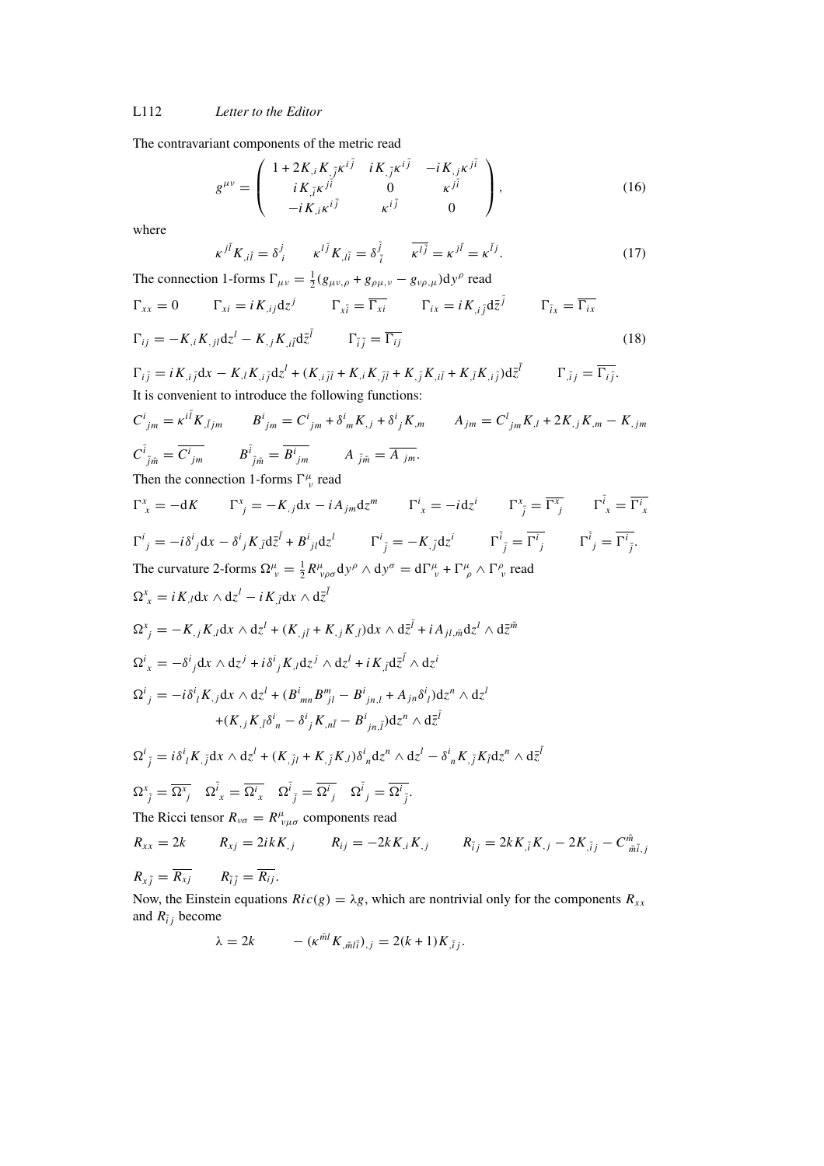L112 *Letter to the Editor*

The contravariant components of the metric read

$$
g^{\mu\nu} = \begin{pmatrix} 1 + 2K_{,i}K_{,\bar{j}}\kappa^{i\bar{j}} & iK_{,\bar{j}}\kappa^{i\bar{j}} & -iK_{,j}\kappa^{j\bar{i}} \\ iK_{,\bar{j}}\kappa^{j\bar{i}} & 0 & \kappa^{j\bar{i}} \\ -iK_{,i}\kappa^{i\bar{j}} & \kappa^{i\bar{j}} & 0 \end{pmatrix},
$$
(16)

where

$$
\kappa^{j\bar{l}}K_{,i\bar{l}} = \delta^j_{\;i} \qquad \kappa^{l\bar{j}}K_{,\bar{l}\bar{i}} = \delta^{\bar{j}}_{\;\bar{i}} \qquad \overline{\kappa^{l\bar{j}}} = \kappa^{j\bar{l}} = \kappa^{\bar{l}j}.\tag{17}
$$

The connection 1-forms  $\Gamma_{\mu\nu} = \frac{1}{2}(g_{\mu\nu,\rho} + g_{\rho\mu,\nu} - g_{\nu\rho,\mu})dy^{\rho}$  read

$$
\Gamma_{xx} = 0 \qquad \Gamma_{xi} = iK_{,ij}dz^{j} \qquad \Gamma_{x\bar{i}} = \overline{\Gamma_{xi}} \qquad \Gamma_{ix} = iK_{,i\bar{j}}d\bar{z}^{\bar{j}} \qquad \Gamma_{\bar{i}x} = \overline{\Gamma_{ix}}
$$
\n
$$
\Gamma_{ij} = -K_{,i}K_{,jl}dz^{l} - K_{,j}K_{,il}d\bar{z}^{\bar{l}} \qquad \Gamma_{\bar{i}\bar{j}} = \overline{\Gamma_{ij}} \qquad (18)
$$

$$
\Gamma_{i\bar{j}} = i K_{,i\bar{j}} dx - K_{,l} K_{,i\bar{j}} dz^{l} + (K_{,i\bar{j}\bar{l}} + K_{,i} K_{,\bar{j}\bar{l}} + K_{,\bar{j}} K_{,i\bar{l}} + K_{,\bar{l}} K_{,i\bar{j}}) d\bar{z}^{\bar{l}} \qquad \Gamma_{,\bar{i}j} = \overline{\Gamma_{i\bar{j}}}.
$$
  
It is convenient to introduce the following functions:

$$
C^{i}_{jm} = \kappa^{i\bar{l}} K_{,\bar{l}jm} \qquad B^{i}_{jm} = C^{i}_{jm} + \delta^{i}_{m} K_{,j} + \delta^{i}_{j} K_{,m} \qquad A_{jm} = C^{l}_{jm} K_{,l} + 2K_{,j} K_{,m} - K_{,jm}
$$
  

$$
C^{\bar{i}}_{\bar{j}\bar{m}} = \overline{C^{i}_{jm}} \qquad B^{\bar{i}}_{\bar{j}\bar{m}} = \overline{B^{i}_{jm}} \qquad A_{\bar{j}\bar{m}} = \overline{A_{jm}}.
$$
  
Then the conservation 1 forms  $\Gamma^{ii}_{m}$  mod

Then the connection 1-forms  $\Gamma^{\mu}_{\nu}$  read

$$
\Gamma^{x}_{\ x} = -dK \qquad \Gamma^{x}_{\ j} = -K_{,\ j}dx - iA_{jm}dz^{m} \qquad \Gamma^{i}_{\ x} = -i dz^{i} \qquad \Gamma^{x}_{\ \bar{j}} = \overline{\Gamma^{x}_{\ j}} \qquad \Gamma^{i}_{\ x} = \overline{\Gamma^{i}_{\ x}}
$$
\n
$$
\Gamma^{i}_{\ j} = -i\delta^{i}_{\ j}dx - \delta^{i}_{\ j}K_{,\bar{l}}d\bar{z}^{\bar{l}} + B^{i}_{\ jl}dz^{l} \qquad \Gamma^{i}_{\ \bar{j}} = -K_{,\bar{j}}dz^{i} \qquad \Gamma^{i}_{\ \bar{j}} = \overline{\Gamma^{i}_{\ j}} \qquad \Gamma^{i}_{\ \bar{j}} = \overline{\Gamma^{i}_{\ \bar{j}}} \qquad \Gamma^{i}_{\ \bar{j}} = \overline{\Gamma^{i}_{\ \bar{j}}} \qquad \Gamma^{i}_{\ \bar{j}} = \overline{\Gamma^{i}_{\ \bar{j}}}.
$$
\nThe curvature 2-forms  $\Omega^{u}_{\ v} = \frac{1}{2}R^{\mu}_{\ \nu\rho\sigma}dy^{\rho} \wedge dy^{\sigma} = d\Gamma^{\mu}_{\ v} + \Gamma^{\mu}_{\ \rho} \wedge \Gamma^{\rho}_{\ v} \text{ read}$ \n
$$
\Omega^{x}_{\ x} = iK_{,\bar{l}}dx \wedge dz^{l} + iK_{,\bar{l}}dx \wedge d\bar{z}^{\bar{l}}
$$
\n
$$
\Omega^{x}_{\ y} = -K_{,\bar{j}}K_{,\bar{l}}dx \wedge dz^{l} + (K_{,\bar{j}\bar{l}} + K_{,\bar{j}}K_{,\bar{l}})dx \wedge d\bar{z}^{\bar{l}} + iA_{jl,\bar{m}}dz^{l} \wedge d\bar{z}^{\bar{m}}
$$
\n
$$
\Omega^{i}_{\ x} = -\delta^{i}_{\ j}dx \wedge dz^{j} + i\delta^{i}_{\ j}K_{,\bar{l}}dz^{j} \wedge dz^{l} + iK_{,\bar{l}}d\bar{z}^{\bar{l}} \wedge dz^{i}
$$
\n
$$
\Omega^{i}_{\ y} = -i\delta^{i}_{\bar{l}}K_{,\bar{j}}dx \wedge dz^{l} + (B^{i}_{mn}B^{m}_{\ jl} - B^{i}_{\ jn,l} + A_{jn}\delta^{i}_{\bar{l}})dz^{n} \wedge dz^{l}
$$
\n
$$
+ (K_{,\bar{j}}K_{,\bar
$$

The Ricci tensor  $R_{\nu\sigma} = R^{\mu}_{\nu\mu\sigma}$  components read

$$
R_{xx} = 2k \t R_{xj} = 2ikK_{,j} \t R_{ij} = -2kK_{,i}K_{,j} \t R_{\bar{i}j} = 2kK_{,\bar{i}}K_{,j} - 2K_{,\bar{i}j} - C_{\bar{m}\bar{i},j}^{\bar{m}}
$$

$$
R_{x\bar{j}}=\overline{R_{xj}}\qquad R_{\bar{i}\bar{j}}=\overline{R_{ij}}.
$$

Now, the Einstein equations  $Ric(g) = \lambda g$ , which are nontrivial only for the components  $R_{xx}$ and  $R_{\bar{i}j}$  become

$$
\lambda = 2k \qquad -(\kappa^{\bar{m}l} K_{,\bar{m}l\bar{i}})_{,j} = 2(k+1)K_{,\bar{i}j}.
$$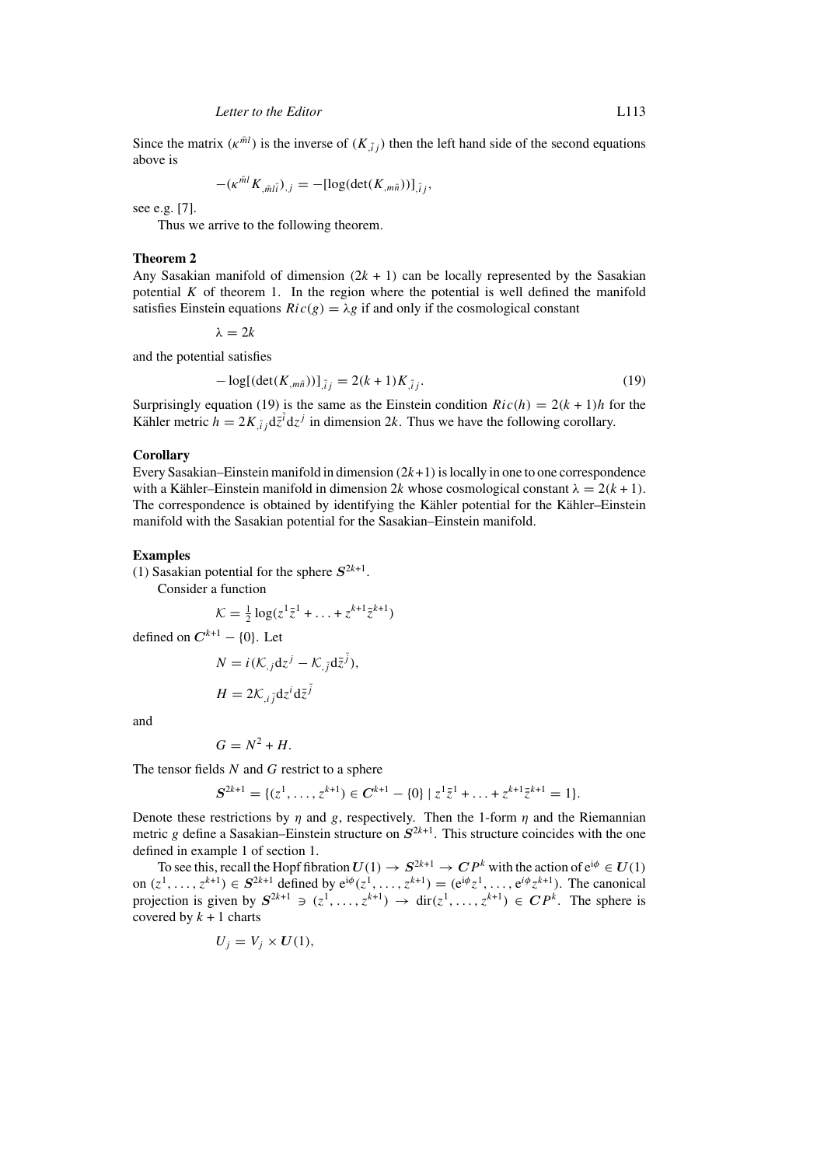Since the matrix  $(\kappa^{m_l})$  is the inverse of  $(K_{\bar{i}i})$  then the left hand side of the second equations above is

$$
-(\kappa^{m l} K_{, \bar{m} l \bar{i}})_{,j} = -[\log(\det(K_{, m \bar{n}}))]_{,\bar{i} j},
$$

see e.g. [7].

Thus we arrive to the following theorem.

#### **Theorem 2**

Any Sasakian manifold of dimension  $(2k + 1)$  can be locally represented by the Sasakian potential  $K$  of theorem 1. In the region where the potential is well defined the manifold satisfies Einstein equations  $Ric(g) = \lambda g$  if and only if the cosmological constant

 $\lambda = 2k$ 

and the potential satisfies

 $-\log[(\det(K_{,m\bar{n}}))]_{\bar{i}j} = 2(k+1)K_{\bar{i}j}$ . (19)

Surprisingly equation (19) is the same as the Einstein condition  $Ric(h) = 2(k + 1)h$  for the Kähler metric  $h = 2K_{,ij} d\bar{z}^i dz^j$  in dimension 2k. Thus we have the following corollary.

## **Corollary**

Every Sasakian–Einstein manifold in dimension  $(2k+1)$  is locally in one to one correspondence with a Kähler–Einstein manifold in dimension 2k whose cosmological constant  $\lambda = 2(k + 1)$ . The correspondence is obtained by identifying the Kähler potential for the Kähler–Einstein manifold with the Sasakian potential for the Sasakian–Einstein manifold.

#### **Examples**

(1) Sasakian potential for the sphere  $S^{2k+1}$ .

Consider a function

$$
\mathcal{K} = \frac{1}{2} \log(z^1 \bar{z}^1 + \ldots + z^{k+1} \bar{z}^{k+1})
$$

defined on  $C^{k+1} - \{0\}$ . Let

$$
N = i(\mathcal{K}_{,j} \mathrm{d}z^{j} - \mathcal{K}_{,\bar{j}} \mathrm{d}\bar{z}^{\bar{j}}),
$$

$$
H=2\mathcal{K}_{,i\bar{j}}\mathrm{d}z^{i}\mathrm{d}\bar{z}^{\bar{j}}
$$

and

$$
G=N^2+H.
$$

The tensor fields  $N$  and  $G$  restrict to a sphere

$$
S^{2k+1} = \{ (z^1, \ldots, z^{k+1}) \in C^{k+1} - \{0\} \mid z^1 \bar{z}^1 + \ldots + z^{k+1} \bar{z}^{k+1} = 1 \}.
$$

Denote these restrictions by  $\eta$  and g, respectively. Then the 1-form  $\eta$  and the Riemannian metric g define a Sasakian–Einstein structure on  $S^{2k+1}$ . This structure coincides with the one defined in example 1 of section 1.

To see this, recall the Hopf fibration  $U(1) \rightarrow S^{2k+1} \rightarrow CP^k$  with the action of  $e^{i\phi} \in U(1)$ on  $(z^1, ..., z^{k+1})$  ∈  $S^{2k+1}$  defined by  $e^{i\phi}(z^1, ..., z^{k+1}) = (e^{i\phi}z^1, ..., e^{i\phi}z^{k+1})$ . The canonical projection is given by  $S^{2k+1} \ni (z^1,\ldots,z^{k+1}) \rightarrow \text{dir}(z^1,\ldots,z^{k+1}) \in \mathbb{CP}^k$ . The sphere is covered by  $k + 1$  charts

$$
U_j = V_j \times U(1),
$$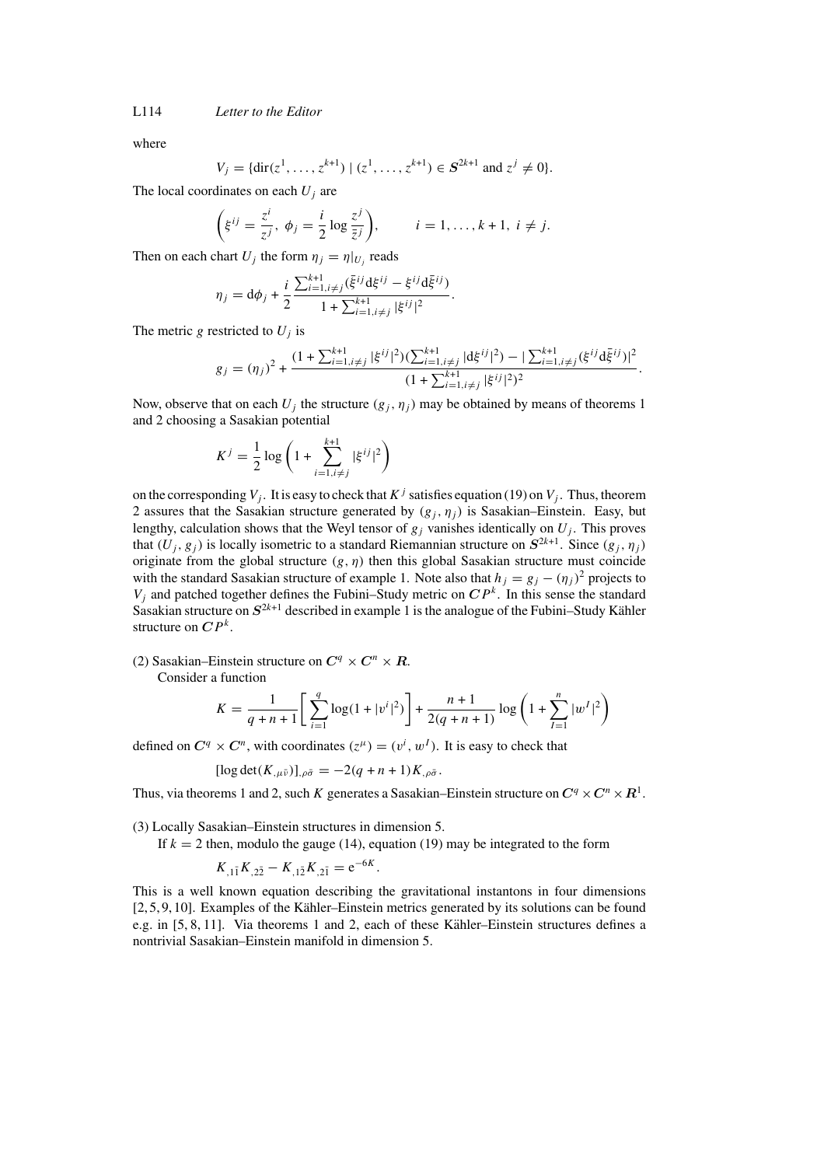L114 *Letter to the Editor*

where

$$
= \{ \text{dir}(z^1, \ldots, z^{k+1}) \mid (z^1, \ldots, z^{k+1}) \in S^{2k+1} \text{ and } z^j \neq 0 \}.
$$

The local coordinates on each  $U_i$  are

 $V_i$ 

$$
\left(\xi^{ij}=\frac{z^i}{z^j},\ \phi_j=\frac{i}{2}\log\frac{z^j}{\bar{z}^j}\right),\qquad i=1,\ldots,k+1,\ i\neq j.
$$

Then on each chart  $U_i$  the form  $\eta_i = \eta|_{U_i}$  reads

$$
\eta_j = \mathrm{d}\phi_j + \frac{i}{2} \frac{\sum_{i=1, i \neq j}^{k+1} (\bar{\xi}^{ij} \mathrm{d}\xi^{ij} - \xi^{ij} \mathrm{d}\bar{\xi}^{ij})}{1 + \sum_{i=1, i \neq j}^{k+1} |\xi^{ij}|^2}.
$$

The metric g restricted to  $U_i$  is

$$
g_j = (\eta_j)^2 + \frac{(1 + \sum_{i=1, i \neq j}^{k+1} |\xi^{ij}|^2)(\sum_{i=1, i \neq j}^{k+1} |d\xi^{ij}|^2) - |\sum_{i=1, i \neq j}^{k+1} (\xi^{ij} d\xi^{ij})|^2}{(1 + \sum_{i=1, i \neq j}^{k+1} |\xi^{ij}|^2)^2}.
$$

Now, observe that on each  $U_i$  the structure  $(g_i, \eta_i)$  may be obtained by means of theorems 1 and 2 choosing a Sasakian potential

$$
K^{j} = \frac{1}{2} \log \left( 1 + \sum_{i=1, i \neq j}^{k+1} |\xi^{ij}|^{2} \right)
$$

on the corresponding  $V_j$ . It is easy to check that  $K^j$  satisfies equation (19) on  $V_j$ . Thus, theorem 2 assures that the Sasakian structure generated by  $(g_j, \eta_j)$  is Sasakian–Einstein. Easy, but lengthy, calculation shows that the Weyl tensor of  $g_j$  vanishes identically on  $U_j$ . This proves that  $(U_i, g_j)$  is locally isometric to a standard Riemannian structure on  $S^{2k+1}$ . Since  $(g_i, \eta_j)$ originate from the global structure  $(g, \eta)$  then this global Sasakian structure must coincide with the standard Sasakian structure of example 1. Note also that  $h_j = g_j - (\eta_j)^2$  projects to  $V_i$  and patched together defines the Fubini–Study metric on  $\mathbb{CP}^k$ . In this sense the standard Sasakian structure on  $S^{2k+1}$  described in example 1 is the analogue of the Fubini–Study Kähler structure on  $\mathbb{CP}^k$ .

(2) Sasakian–Einstein structure on  $C^q \times C^n \times R$ .

Consider a function

$$
K = \frac{1}{q+n+1} \left[ \sum_{i=1}^{q} \log(1+|v^i|^2) \right] + \frac{n+1}{2(q+n+1)} \log \left( 1 + \sum_{l=1}^{n} |w^l|^2 \right)
$$

defined on  $C^q \times C^n$ , with coordinates  $(z^{\mu}) = (v^i, w^I)$ . It is easy to check that

$$
[\log \det(K_{,\mu\bar{\nu}})]_{,\rho\bar{\sigma}} = -2(q+n+1)K_{,\rho\bar{\sigma}}.
$$

Thus, via theorems 1 and 2, such K generates a Sasakian–Einstein structure on  $C^q \times C^n \times R^1$ .

(3) Locally Sasakian–Einstein structures in dimension 5.

If  $k = 2$  then, modulo the gauge (14), equation (19) may be integrated to the form

$$
K_{,1\bar{1}}K_{,2\bar{2}}-K_{,1\bar{2}}K_{,2\bar{1}}=e^{-6K}.
$$

This is a well known equation describing the gravitational instantons in four dimensions  $[2, 5, 9, 10]$ . Examples of the Kähler–Einstein metrics generated by its solutions can be found e.g. in  $[5, 8, 11]$ . Via theorems 1 and 2, each of these Kähler–Einstein structures defines a nontrivial Sasakian–Einstein manifold in dimension 5.